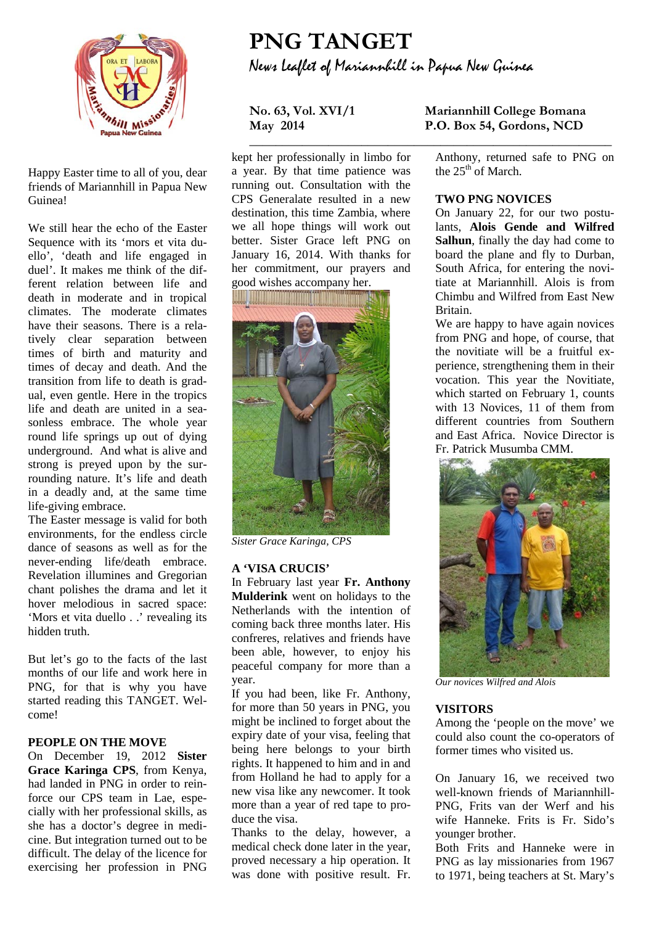

Happy Easter time to all of you, dear friends of Mariannhill in Papua New Guinea!

We still hear the echo of the Easter Sequence with its 'mors et vita duello', 'death and life engaged in duel'. It makes me think of the different relation between life and death in moderate and in tropical climates. The moderate climates have their seasons. There is a relatively clear separation between times of birth and maturity and times of decay and death. And the transition from life to death is gradual, even gentle. Here in the tropics life and death are united in a seasonless embrace. The whole year round life springs up out of dying underground. And what is alive and strong is preyed upon by the surrounding nature. It's life and death in a deadly and, at the same time life-giving embrace.

The Easter message is valid for both environments, for the endless circle dance of seasons as well as for the never-ending life/death embrace. Revelation illumines and Gregorian chant polishes the drama and let it hover melodious in sacred space: 'Mors et vita duello . .' revealing its hidden truth.

But let's go to the facts of the last months of our life and work here in PNG, for that is why you have started reading this TANGET. Welcome!

#### **PEOPLE ON THE MOVE**

On December 19, 2012 **Sister Grace Karinga CPS**, from Kenya, had landed in PNG in order to reinforce our CPS team in Lae, especially with her professional skills, as she has a doctor's degree in medicine. But integration turned out to be difficult. The delay of the licence for exercising her profession in PNG

# **PNG TANGET** News Leaflet of Mariannhill in Papua New Guinea

**\_\_\_\_\_\_\_\_\_\_\_\_\_\_\_\_\_\_\_\_\_\_\_\_\_\_\_\_\_\_\_\_\_\_\_\_\_\_\_\_\_\_\_\_\_\_\_\_\_\_\_\_\_\_\_**

kept her professionally in limbo for a year. By that time patience was running out. Consultation with the CPS Generalate resulted in a new destination, this time Zambia, where we all hope things will work out better. Sister Grace left PNG on January 16, 2014. With thanks for her commitment, our prayers and good wishes accompany her.



*Sister Grace Karinga, CPS*

#### **A 'VISA CRUCIS'**

In February last year **Fr. Anthony Mulderink** went on holidays to the Netherlands with the intention of coming back three months later. His confreres, relatives and friends have been able, however, to enjoy his peaceful company for more than a year.

If you had been, like Fr. Anthony, for more than 50 years in PNG, you might be inclined to forget about the expiry date of your visa, feeling that being here belongs to your birth rights. It happened to him and in and from Holland he had to apply for a new visa like any newcomer. It took more than a year of red tape to produce the visa.

Thanks to the delay, however, a medical check done later in the year, proved necessary a hip operation. It was done with positive result. Fr.

### **No. 63, Vol. XVI/1 Mariannhill College Bomana May 2014 P.O. Box 54, Gordons, NCD**

Anthony, returned safe to PNG on the  $25<sup>th</sup>$  of March.

#### **TWO PNG NOVICES**

On January 22, for our two postulants, **Alois Gende and Wilfred Salhun**, finally the day had come to board the plane and fly to Durban, South Africa, for entering the novitiate at Mariannhill. Alois is from Chimbu and Wilfred from East New Britain.

We are happy to have again novices from PNG and hope, of course, that the novitiate will be a fruitful experience, strengthening them in their vocation. This year the Novitiate, which started on February 1, counts with 13 Novices, 11 of them from different countries from Southern and East Africa. Novice Director is Fr. Patrick Musumba CMM.



*Our novices Wilfred and Alois*

#### **VISITORS**

Among the 'people on the move' we could also count the co-operators of former times who visited us.

On January 16, we received two well-known friends of Mariannhill-PNG, Frits van der Werf and his wife Hanneke. Frits is Fr. Sido's younger brother.

Both Frits and Hanneke were in PNG as lay missionaries from 1967 to 1971, being teachers at St. Mary's